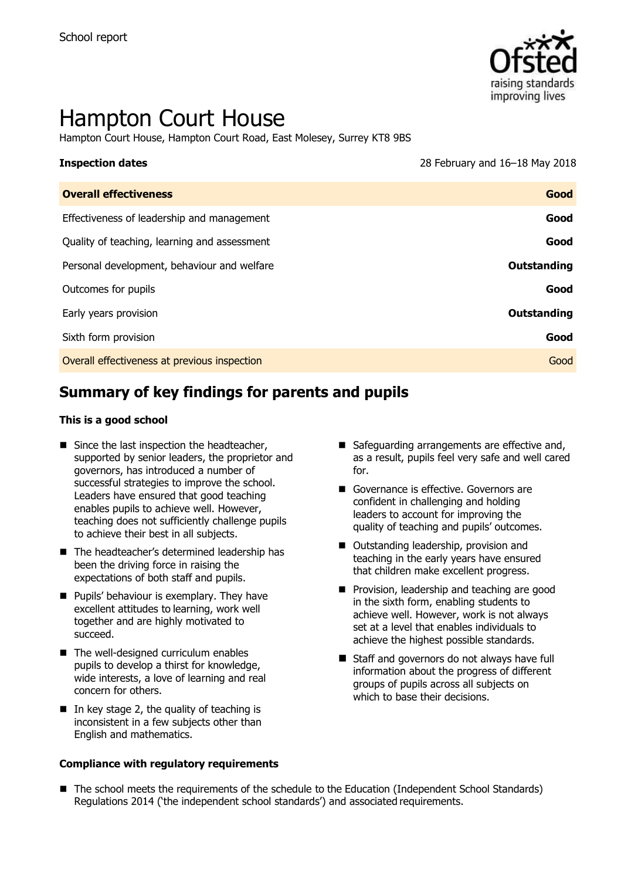

# Hampton Court House

Hampton Court House, Hampton Court Road, East Molesey, Surrey KT8 9BS

**Inspection dates** 28 February and 16–18 May 2018

| <b>Overall effectiveness</b>                 | Good        |
|----------------------------------------------|-------------|
| Effectiveness of leadership and management   | Good        |
| Quality of teaching, learning and assessment | Good        |
| Personal development, behaviour and welfare  | Outstanding |
| Outcomes for pupils                          | Good        |
| Early years provision                        | Outstanding |
| Sixth form provision                         | Good        |
| Overall effectiveness at previous inspection | Good        |
|                                              |             |

# **Summary of key findings for parents and pupils**

#### **This is a good school**

- Since the last inspection the headteacher, supported by senior leaders, the proprietor and governors, has introduced a number of successful strategies to improve the school. Leaders have ensured that good teaching enables pupils to achieve well. However, teaching does not sufficiently challenge pupils to achieve their best in all subjects.
- The headteacher's determined leadership has been the driving force in raising the expectations of both staff and pupils.
- **Pupils' behaviour is exemplary. They have** excellent attitudes to learning, work well together and are highly motivated to succeed.
- The well-designed curriculum enables pupils to develop a thirst for knowledge, wide interests, a love of learning and real concern for others.
- $\blacksquare$  In key stage 2, the quality of teaching is inconsistent in a few subjects other than English and mathematics.

#### **Compliance with regulatory requirements**

- Safeguarding arrangements are effective and, as a result, pupils feel very safe and well cared for.
- Governance is effective. Governors are confident in challenging and holding leaders to account for improving the quality of teaching and pupils' outcomes.
- Outstanding leadership, provision and teaching in the early years have ensured that children make excellent progress.
- **Provision, leadership and teaching are good** in the sixth form, enabling students to achieve well. However, work is not always set at a level that enables individuals to achieve the highest possible standards.
- Staff and governors do not always have full information about the progress of different groups of pupils across all subjects on which to base their decisions.
- The school meets the requirements of the schedule to the Education (Independent School Standards) Regulations 2014 ('the independent school standards') and associated requirements.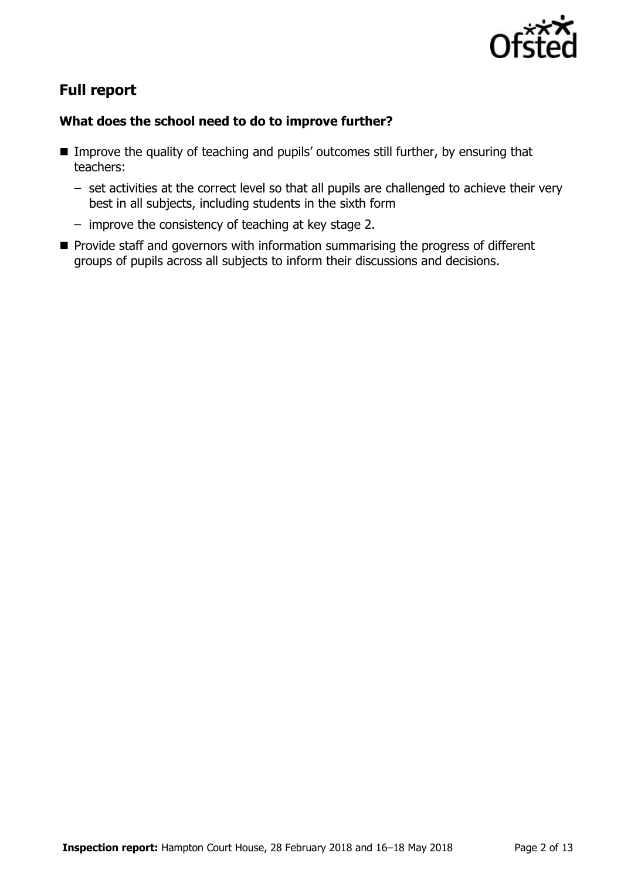

# **Full report**

### **What does the school need to do to improve further?**

- **IMPROVE the quality of teaching and pupils' outcomes still further, by ensuring that** teachers:
	- set activities at the correct level so that all pupils are challenged to achieve their very best in all subjects, including students in the sixth form
	- improve the consistency of teaching at key stage 2.
- $\blacksquare$  Provide staff and governors with information summarising the progress of different groups of pupils across all subjects to inform their discussions and decisions.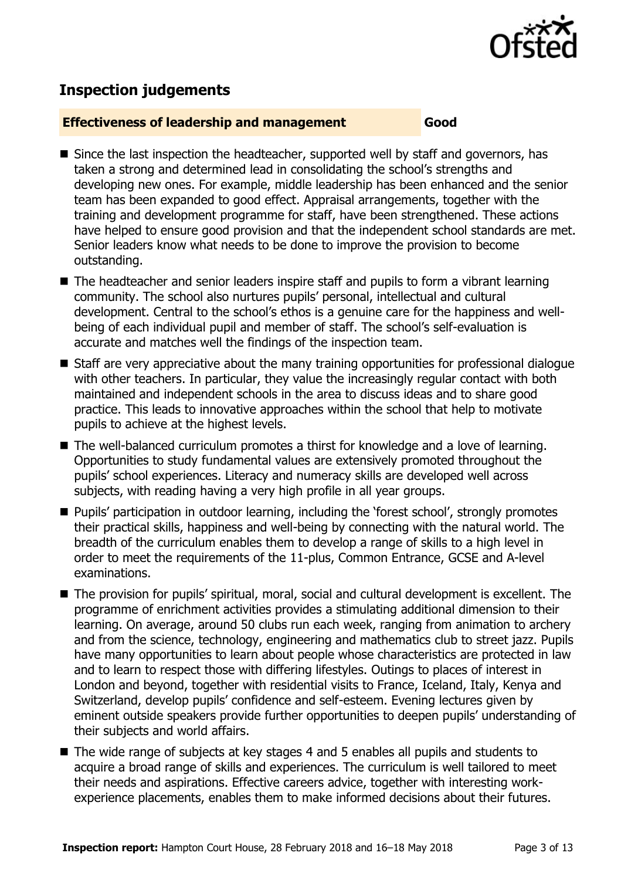

# **Inspection judgements**

#### **Effectiveness of leadership and management Good**

- Since the last inspection the headteacher, supported well by staff and governors, has taken a strong and determined lead in consolidating the school's strengths and developing new ones. For example, middle leadership has been enhanced and the senior team has been expanded to good effect. Appraisal arrangements, together with the training and development programme for staff, have been strengthened. These actions have helped to ensure good provision and that the independent school standards are met. Senior leaders know what needs to be done to improve the provision to become outstanding.
- The headteacher and senior leaders inspire staff and pupils to form a vibrant learning community. The school also nurtures pupils' personal, intellectual and cultural development. Central to the school's ethos is a genuine care for the happiness and wellbeing of each individual pupil and member of staff. The school's self-evaluation is accurate and matches well the findings of the inspection team.
- Staff are very appreciative about the many training opportunities for professional dialogue with other teachers. In particular, they value the increasingly regular contact with both maintained and independent schools in the area to discuss ideas and to share good practice. This leads to innovative approaches within the school that help to motivate pupils to achieve at the highest levels.
- The well-balanced curriculum promotes a thirst for knowledge and a love of learning. Opportunities to study fundamental values are extensively promoted throughout the pupils' school experiences. Literacy and numeracy skills are developed well across subjects, with reading having a very high profile in all year groups.
- **Pupils' participation in outdoor learning, including the 'forest school', strongly promotes** their practical skills, happiness and well-being by connecting with the natural world. The breadth of the curriculum enables them to develop a range of skills to a high level in order to meet the requirements of the 11-plus, Common Entrance, GCSE and A-level examinations.
- The provision for pupils' spiritual, moral, social and cultural development is excellent. The programme of enrichment activities provides a stimulating additional dimension to their learning. On average, around 50 clubs run each week, ranging from animation to archery and from the science, technology, engineering and mathematics club to street jazz. Pupils have many opportunities to learn about people whose characteristics are protected in law and to learn to respect those with differing lifestyles. Outings to places of interest in London and beyond, together with residential visits to France, Iceland, Italy, Kenya and Switzerland, develop pupils' confidence and self-esteem. Evening lectures given by eminent outside speakers provide further opportunities to deepen pupils' understanding of their subjects and world affairs.
- The wide range of subjects at key stages 4 and 5 enables all pupils and students to acquire a broad range of skills and experiences. The curriculum is well tailored to meet their needs and aspirations. Effective careers advice, together with interesting workexperience placements, enables them to make informed decisions about their futures.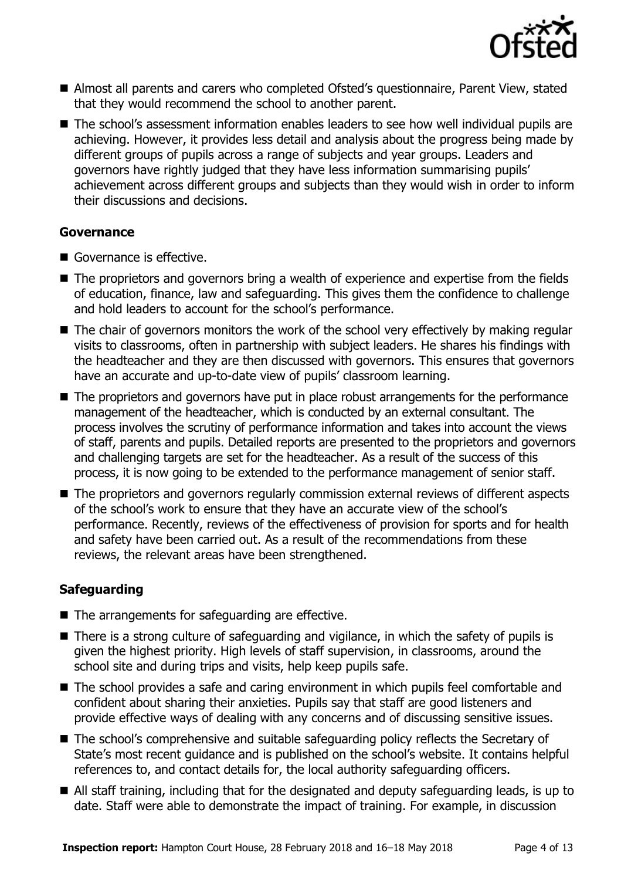

- Almost all parents and carers who completed Ofsted's questionnaire, Parent View, stated that they would recommend the school to another parent.
- The school's assessment information enables leaders to see how well individual pupils are achieving. However, it provides less detail and analysis about the progress being made by different groups of pupils across a range of subjects and year groups. Leaders and governors have rightly judged that they have less information summarising pupils' achievement across different groups and subjects than they would wish in order to inform their discussions and decisions.

### **Governance**

- Governance is effective.
- The proprietors and governors bring a wealth of experience and expertise from the fields of education, finance, law and safeguarding. This gives them the confidence to challenge and hold leaders to account for the school's performance.
- The chair of governors monitors the work of the school very effectively by making regular visits to classrooms, often in partnership with subject leaders. He shares his findings with the headteacher and they are then discussed with governors. This ensures that governors have an accurate and up-to-date view of pupils' classroom learning.
- The proprietors and governors have put in place robust arrangements for the performance management of the headteacher, which is conducted by an external consultant. The process involves the scrutiny of performance information and takes into account the views of staff, parents and pupils. Detailed reports are presented to the proprietors and governors and challenging targets are set for the headteacher. As a result of the success of this process, it is now going to be extended to the performance management of senior staff.
- The proprietors and governors regularly commission external reviews of different aspects of the school's work to ensure that they have an accurate view of the school's performance. Recently, reviews of the effectiveness of provision for sports and for health and safety have been carried out. As a result of the recommendations from these reviews, the relevant areas have been strengthened.

### **Safeguarding**

- The arrangements for safeguarding are effective.
- There is a strong culture of safeguarding and vigilance, in which the safety of pupils is given the highest priority. High levels of staff supervision, in classrooms, around the school site and during trips and visits, help keep pupils safe.
- The school provides a safe and caring environment in which pupils feel comfortable and confident about sharing their anxieties. Pupils say that staff are good listeners and provide effective ways of dealing with any concerns and of discussing sensitive issues.
- The school's comprehensive and suitable safeguarding policy reflects the Secretary of State's most recent guidance and is published on the school's website. It contains helpful references to, and contact details for, the local authority safeguarding officers.
- All staff training, including that for the designated and deputy safeguarding leads, is up to date. Staff were able to demonstrate the impact of training. For example, in discussion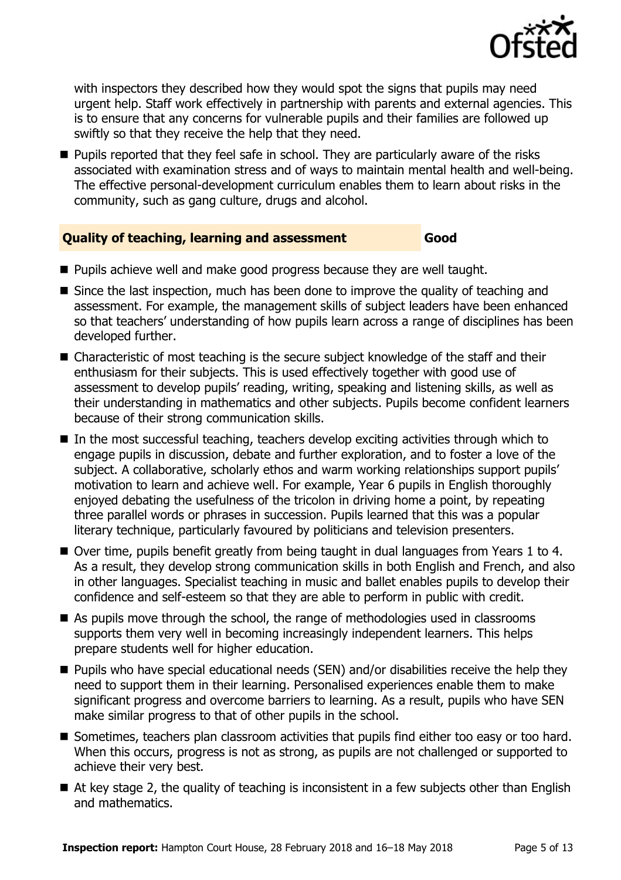

with inspectors they described how they would spot the signs that pupils may need urgent help. Staff work effectively in partnership with parents and external agencies. This is to ensure that any concerns for vulnerable pupils and their families are followed up swiftly so that they receive the help that they need.

**Pupils reported that they feel safe in school. They are particularly aware of the risks** associated with examination stress and of ways to maintain mental health and well-being. The effective personal-development curriculum enables them to learn about risks in the community, such as gang culture, drugs and alcohol.

#### **Quality of teaching, learning and assessment Good**

- **Pupils achieve well and make good progress because they are well taught.**
- $\blacksquare$  Since the last inspection, much has been done to improve the quality of teaching and assessment. For example, the management skills of subject leaders have been enhanced so that teachers' understanding of how pupils learn across a range of disciplines has been developed further.
- Characteristic of most teaching is the secure subject knowledge of the staff and their enthusiasm for their subjects. This is used effectively together with good use of assessment to develop pupils' reading, writing, speaking and listening skills, as well as their understanding in mathematics and other subjects. Pupils become confident learners because of their strong communication skills.
- $\blacksquare$  In the most successful teaching, teachers develop exciting activities through which to engage pupils in discussion, debate and further exploration, and to foster a love of the subject. A collaborative, scholarly ethos and warm working relationships support pupils' motivation to learn and achieve well. For example, Year 6 pupils in English thoroughly enjoyed debating the usefulness of the tricolon in driving home a point, by repeating three parallel words or phrases in succession. Pupils learned that this was a popular literary technique, particularly favoured by politicians and television presenters.
- Over time, pupils benefit greatly from being taught in dual languages from Years 1 to 4. As a result, they develop strong communication skills in both English and French, and also in other languages. Specialist teaching in music and ballet enables pupils to develop their confidence and self-esteem so that they are able to perform in public with credit.
- As pupils move through the school, the range of methodologies used in classrooms supports them very well in becoming increasingly independent learners. This helps prepare students well for higher education.
- Pupils who have special educational needs (SEN) and/or disabilities receive the help they need to support them in their learning. Personalised experiences enable them to make significant progress and overcome barriers to learning. As a result, pupils who have SEN make similar progress to that of other pupils in the school.
- Sometimes, teachers plan classroom activities that pupils find either too easy or too hard. When this occurs, progress is not as strong, as pupils are not challenged or supported to achieve their very best.
- At key stage 2, the quality of teaching is inconsistent in a few subjects other than English and mathematics.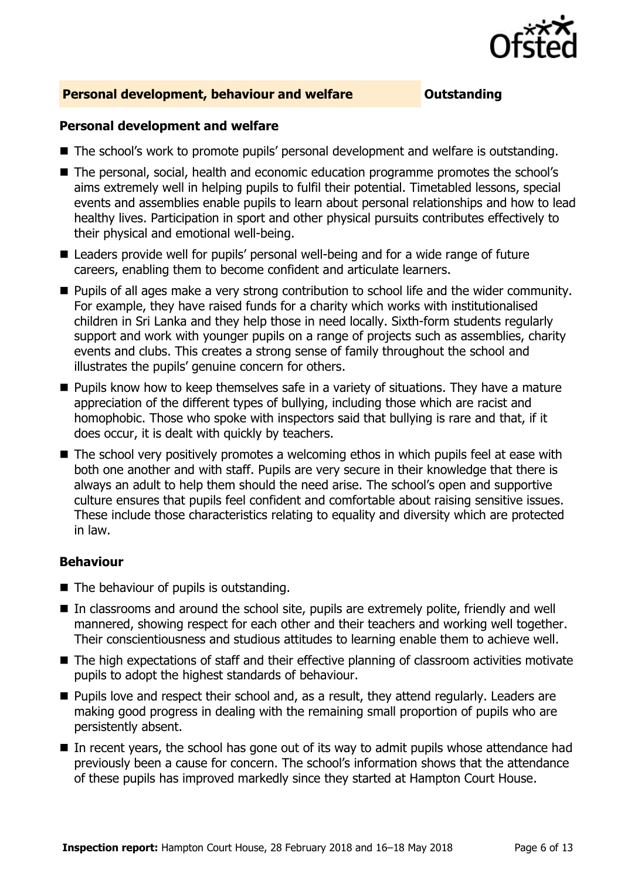

### **Personal development, behaviour and welfare <b>COULTS** Outstanding

#### **Personal development and welfare**

- The school's work to promote pupils' personal development and welfare is outstanding.
- The personal, social, health and economic education programme promotes the school's aims extremely well in helping pupils to fulfil their potential. Timetabled lessons, special events and assemblies enable pupils to learn about personal relationships and how to lead healthy lives. Participation in sport and other physical pursuits contributes effectively to their physical and emotional well-being.
- Leaders provide well for pupils' personal well-being and for a wide range of future careers, enabling them to become confident and articulate learners.
- **Pupils of all ages make a very strong contribution to school life and the wider community.** For example, they have raised funds for a charity which works with institutionalised children in Sri Lanka and they help those in need locally. Sixth-form students regularly support and work with younger pupils on a range of projects such as assemblies, charity events and clubs. This creates a strong sense of family throughout the school and illustrates the pupils' genuine concern for others.
- **Pupils know how to keep themselves safe in a variety of situations. They have a mature** appreciation of the different types of bullying, including those which are racist and homophobic. Those who spoke with inspectors said that bullying is rare and that, if it does occur, it is dealt with quickly by teachers.
- The school very positively promotes a welcoming ethos in which pupils feel at ease with both one another and with staff. Pupils are very secure in their knowledge that there is always an adult to help them should the need arise. The school's open and supportive culture ensures that pupils feel confident and comfortable about raising sensitive issues. These include those characteristics relating to equality and diversity which are protected in law.

#### **Behaviour**

- $\blacksquare$  The behaviour of pupils is outstanding.
- In classrooms and around the school site, pupils are extremely polite, friendly and well mannered, showing respect for each other and their teachers and working well together. Their conscientiousness and studious attitudes to learning enable them to achieve well.
- The high expectations of staff and their effective planning of classroom activities motivate pupils to adopt the highest standards of behaviour.
- **Pupils love and respect their school and, as a result, they attend regularly. Leaders are** making good progress in dealing with the remaining small proportion of pupils who are persistently absent.
- In recent years, the school has gone out of its way to admit pupils whose attendance had previously been a cause for concern. The school's information shows that the attendance of these pupils has improved markedly since they started at Hampton Court House.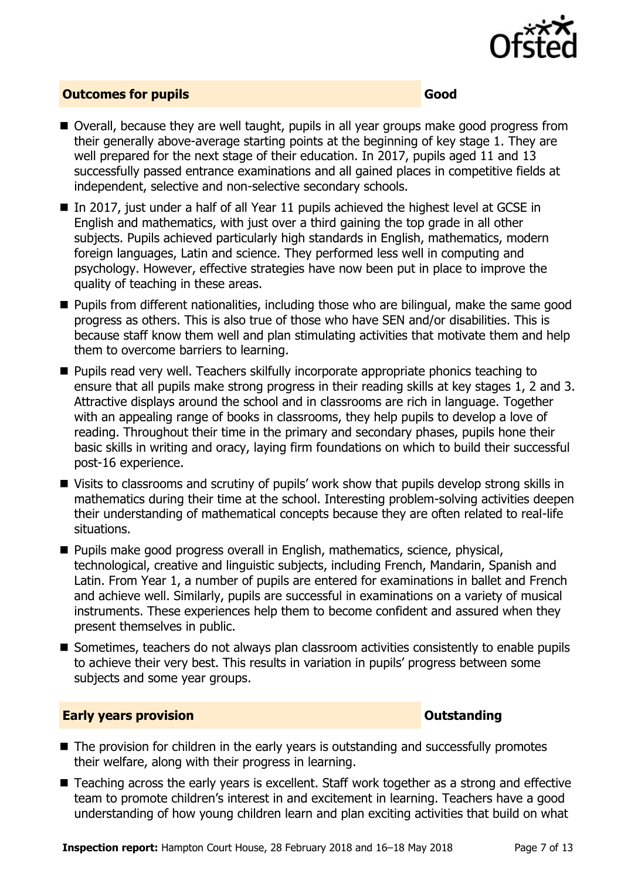

### **Outcomes for pupils Good Good**

- Overall, because they are well taught, pupils in all year groups make good progress from their generally above-average starting points at the beginning of key stage 1. They are well prepared for the next stage of their education. In 2017, pupils aged 11 and 13 successfully passed entrance examinations and all gained places in competitive fields at independent, selective and non-selective secondary schools.
- $\blacksquare$  In 2017, just under a half of all Year 11 pupils achieved the highest level at GCSE in English and mathematics, with just over a third gaining the top grade in all other subjects. Pupils achieved particularly high standards in English, mathematics, modern foreign languages, Latin and science. They performed less well in computing and psychology. However, effective strategies have now been put in place to improve the quality of teaching in these areas.
- **Pupils from different nationalities, including those who are bilingual, make the same good** progress as others. This is also true of those who have SEN and/or disabilities. This is because staff know them well and plan stimulating activities that motivate them and help them to overcome barriers to learning.
- **Pupils read very well. Teachers skilfully incorporate appropriate phonics teaching to** ensure that all pupils make strong progress in their reading skills at key stages 1, 2 and 3. Attractive displays around the school and in classrooms are rich in language. Together with an appealing range of books in classrooms, they help pupils to develop a love of reading. Throughout their time in the primary and secondary phases, pupils hone their basic skills in writing and oracy, laying firm foundations on which to build their successful post-16 experience.
- Visits to classrooms and scrutiny of pupils' work show that pupils develop strong skills in mathematics during their time at the school. Interesting problem-solving activities deepen their understanding of mathematical concepts because they are often related to real-life situations.
- **Pupils make good progress overall in English, mathematics, science, physical,** technological, creative and linguistic subjects, including French, Mandarin, Spanish and Latin. From Year 1, a number of pupils are entered for examinations in ballet and French and achieve well. Similarly, pupils are successful in examinations on a variety of musical instruments. These experiences help them to become confident and assured when they present themselves in public.
- Sometimes, teachers do not always plan classroom activities consistently to enable pupils to achieve their very best. This results in variation in pupils' progress between some subjects and some year groups.

#### **Early years provision CONSERVING SERVING SERVICES CONSTANTING**

- The provision for children in the early years is outstanding and successfully promotes their welfare, along with their progress in learning.
- Teaching across the early years is excellent. Staff work together as a strong and effective team to promote children's interest in and excitement in learning. Teachers have a good understanding of how young children learn and plan exciting activities that build on what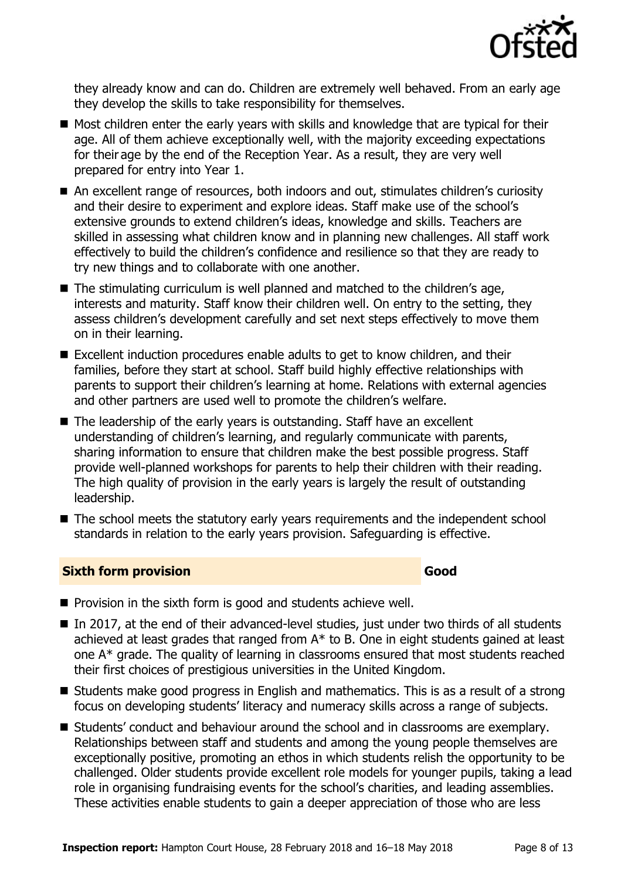

they already know and can do. Children are extremely well behaved. From an early age they develop the skills to take responsibility for themselves.

- Most children enter the early years with skills and knowledge that are typical for their age. All of them achieve exceptionally well, with the majority exceeding expectations for their age by the end of the Reception Year. As a result, they are very well prepared for entry into Year 1.
- An excellent range of resources, both indoors and out, stimulates children's curiosity and their desire to experiment and explore ideas. Staff make use of the school's extensive grounds to extend children's ideas, knowledge and skills. Teachers are skilled in assessing what children know and in planning new challenges. All staff work effectively to build the children's confidence and resilience so that they are ready to try new things and to collaborate with one another.
- The stimulating curriculum is well planned and matched to the children's age, interests and maturity. Staff know their children well. On entry to the setting, they assess children's development carefully and set next steps effectively to move them on in their learning.
- Excellent induction procedures enable adults to get to know children, and their families, before they start at school. Staff build highly effective relationships with parents to support their children's learning at home. Relations with external agencies and other partners are used well to promote the children's welfare.
- The leadership of the early years is outstanding. Staff have an excellent understanding of children's learning, and regularly communicate with parents, sharing information to ensure that children make the best possible progress. Staff provide well-planned workshops for parents to help their children with their reading. The high quality of provision in the early years is largely the result of outstanding leadership.
- The school meets the statutory early years requirements and the independent school standards in relation to the early years provision. Safeguarding is effective.

### **Sixth form provision Good**

- $\blacksquare$  Provision in the sixth form is good and students achieve well.
- In 2017, at the end of their advanced-level studies, just under two thirds of all students achieved at least grades that ranged from A\* to B. One in eight students gained at least one A\* grade. The quality of learning in classrooms ensured that most students reached their first choices of prestigious universities in the United Kingdom.
- Students make good progress in English and mathematics. This is as a result of a strong focus on developing students' literacy and numeracy skills across a range of subjects.
- Students' conduct and behaviour around the school and in classrooms are exemplary. Relationships between staff and students and among the young people themselves are exceptionally positive, promoting an ethos in which students relish the opportunity to be challenged. Older students provide excellent role models for younger pupils, taking a lead role in organising fundraising events for the school's charities, and leading assemblies. These activities enable students to gain a deeper appreciation of those who are less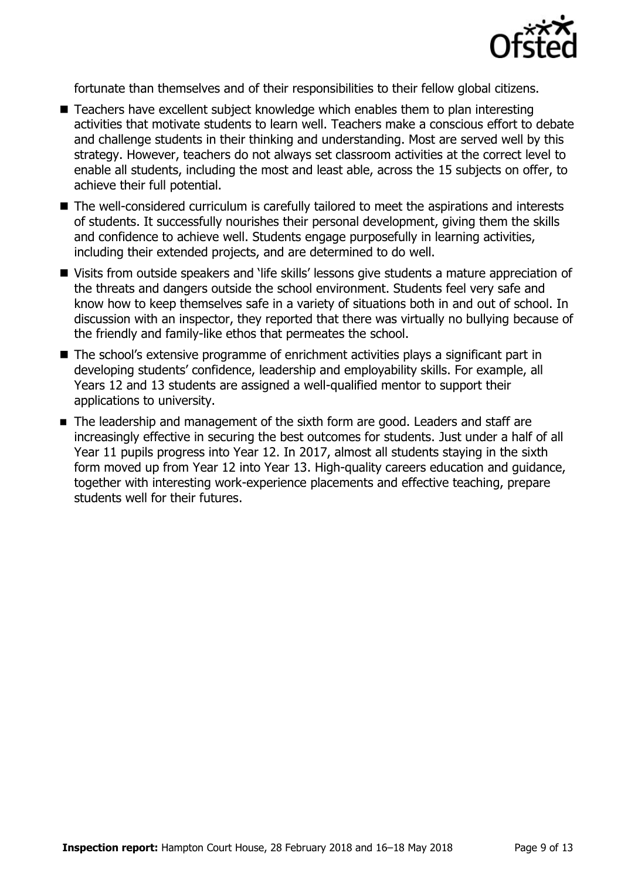

fortunate than themselves and of their responsibilities to their fellow global citizens.

- Teachers have excellent subject knowledge which enables them to plan interesting activities that motivate students to learn well. Teachers make a conscious effort to debate and challenge students in their thinking and understanding. Most are served well by this strategy. However, teachers do not always set classroom activities at the correct level to enable all students, including the most and least able, across the 15 subjects on offer, to achieve their full potential.
- The well-considered curriculum is carefully tailored to meet the aspirations and interests of students. It successfully nourishes their personal development, giving them the skills and confidence to achieve well. Students engage purposefully in learning activities, including their extended projects, and are determined to do well.
- Visits from outside speakers and 'life skills' lessons give students a mature appreciation of the threats and dangers outside the school environment. Students feel very safe and know how to keep themselves safe in a variety of situations both in and out of school. In discussion with an inspector, they reported that there was virtually no bullying because of the friendly and family-like ethos that permeates the school.
- The school's extensive programme of enrichment activities plays a significant part in developing students' confidence, leadership and employability skills. For example, all Years 12 and 13 students are assigned a well-qualified mentor to support their applications to university.
- The leadership and management of the sixth form are good. Leaders and staff are increasingly effective in securing the best outcomes for students. Just under a half of all Year 11 pupils progress into Year 12. In 2017, almost all students staying in the sixth form moved up from Year 12 into Year 13. High-quality careers education and guidance, together with interesting work-experience placements and effective teaching, prepare students well for their futures.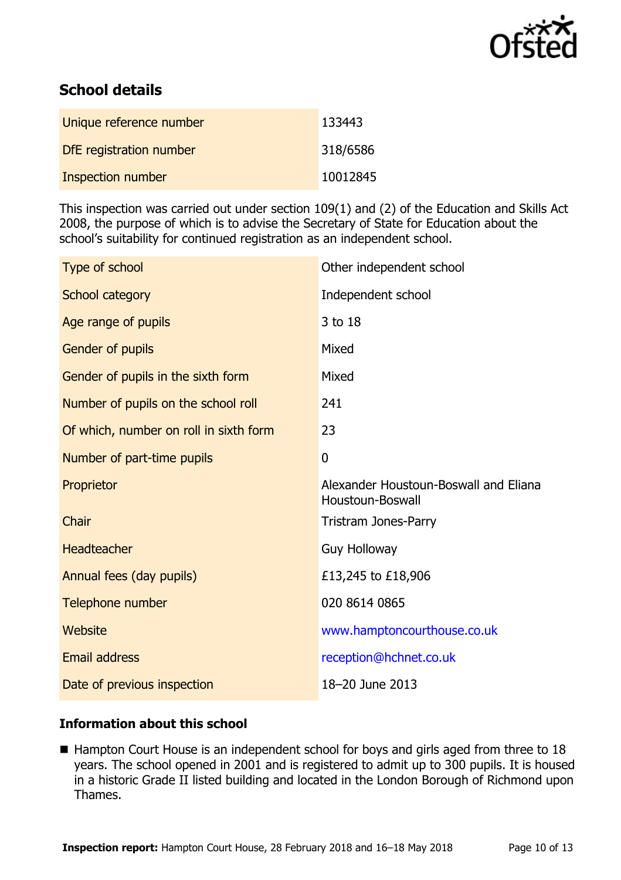

# **School details**

| Unique reference number | 133443   |
|-------------------------|----------|
| DfE registration number | 318/6586 |
| Inspection number       | 10012845 |

This inspection was carried out under section 109(1) and (2) of the Education and Skills Act 2008, the purpose of which is to advise the Secretary of State for Education about the school's suitability for continued registration as an independent school.

| Type of school                         | Other independent school                                  |
|----------------------------------------|-----------------------------------------------------------|
| School category                        | Independent school                                        |
| Age range of pupils                    | 3 to 18                                                   |
| Gender of pupils                       | Mixed                                                     |
| Gender of pupils in the sixth form     | Mixed                                                     |
| Number of pupils on the school roll    | 241                                                       |
| Of which, number on roll in sixth form | 23                                                        |
| Number of part-time pupils             | 0                                                         |
| Proprietor                             | Alexander Houstoun-Boswall and Eliana<br>Houstoun-Boswall |
| Chair                                  | <b>Tristram Jones-Parry</b>                               |
| <b>Headteacher</b>                     | <b>Guy Holloway</b>                                       |
| Annual fees (day pupils)               | £13,245 to £18,906                                        |
| Telephone number                       | 020 8614 0865                                             |
| Website                                | www.hamptoncourthouse.co.uk                               |
| <b>Email address</b>                   | reception@hchnet.co.uk                                    |
| Date of previous inspection            | 18-20 June 2013                                           |

### **Information about this school**

■ Hampton Court House is an independent school for boys and girls aged from three to 18 years. The school opened in 2001 and is registered to admit up to 300 pupils. It is housed in a historic Grade II listed building and located in the London Borough of Richmond upon Thames.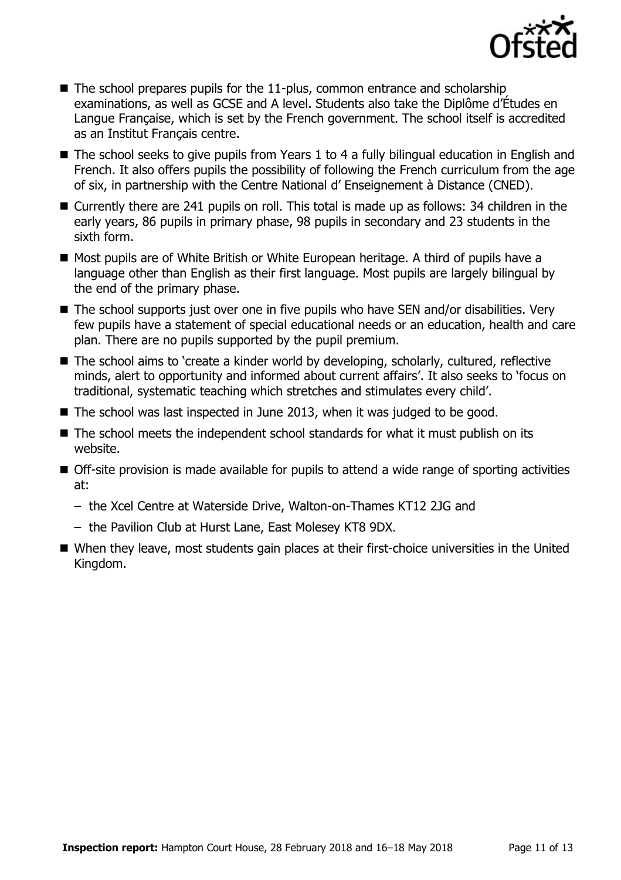

- $\blacksquare$  The school prepares pupils for the 11-plus, common entrance and scholarship examinations, as well as GCSE and A level. Students also take the Diplôme d'Études en Langue Française, which is set by the French government. The school itself is accredited as an Institut Français centre.
- The school seeks to give pupils from Years 1 to 4 a fully bilingual education in English and French. It also offers pupils the possibility of following the French curriculum from the age of six, in partnership with the Centre National d' Enseignement à Distance (CNED).
- Currently there are 241 pupils on roll. This total is made up as follows: 34 children in the early years, 86 pupils in primary phase, 98 pupils in secondary and 23 students in the sixth form.
- Most pupils are of White British or White European heritage. A third of pupils have a language other than English as their first language. Most pupils are largely bilingual by the end of the primary phase.
- The school supports just over one in five pupils who have SEN and/or disabilities. Very few pupils have a statement of special educational needs or an education, health and care plan. There are no pupils supported by the pupil premium.
- The school aims to 'create a kinder world by developing, scholarly, cultured, reflective minds, alert to opportunity and informed about current affairs'. It also seeks to 'focus on traditional, systematic teaching which stretches and stimulates every child'.
- The school was last inspected in June 2013, when it was judged to be good.
- $\blacksquare$  The school meets the independent school standards for what it must publish on its website.
- Off-site provision is made available for pupils to attend a wide range of sporting activities at:
	- the Xcel Centre at Waterside Drive, Walton-on-Thames KT12 2JG and
	- the Pavilion Club at Hurst Lane, East Molesey KT8 9DX.
- When they leave, most students gain places at their first-choice universities in the United Kingdom.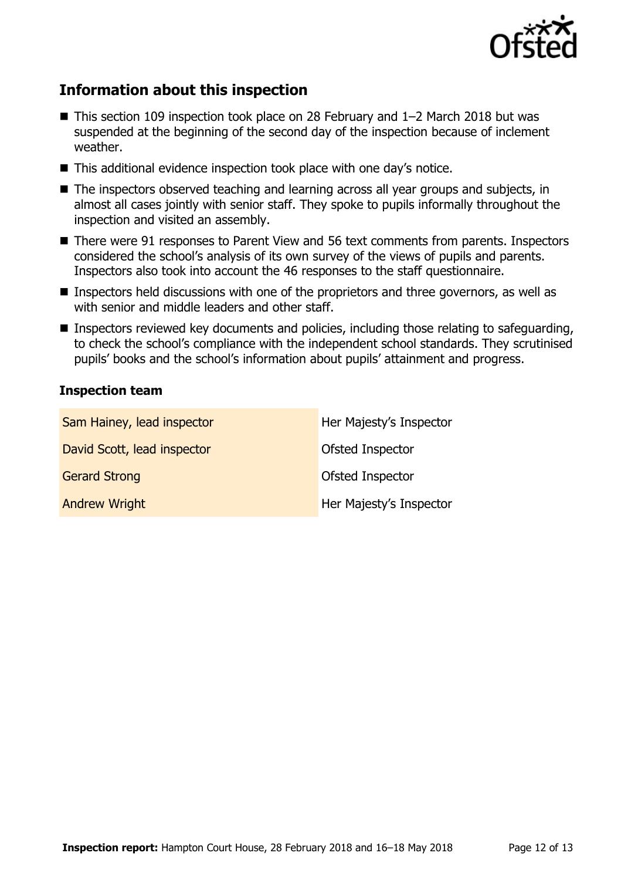

# **Information about this inspection**

- This section 109 inspection took place on 28 February and 1–2 March 2018 but was suspended at the beginning of the second day of the inspection because of inclement weather.
- This additional evidence inspection took place with one day's notice.
- The inspectors observed teaching and learning across all year groups and subjects, in almost all cases jointly with senior staff. They spoke to pupils informally throughout the inspection and visited an assembly.
- There were 91 responses to Parent View and 56 text comments from parents. Inspectors considered the school's analysis of its own survey of the views of pupils and parents. Inspectors also took into account the 46 responses to the staff questionnaire.
- **Inspectors held discussions with one of the proprietors and three governors, as well as** with senior and middle leaders and other staff.
- **Inspectors reviewed key documents and policies, including those relating to safeguarding,** to check the school's compliance with the independent school standards. They scrutinised pupils' books and the school's information about pupils' attainment and progress.

#### **Inspection team**

| Sam Hainey, lead inspector  | Her Majesty's Inspector |
|-----------------------------|-------------------------|
| David Scott, lead inspector | Ofsted Inspector        |
| <b>Gerard Strong</b>        | Ofsted Inspector        |
| <b>Andrew Wright</b>        | Her Majesty's Inspector |